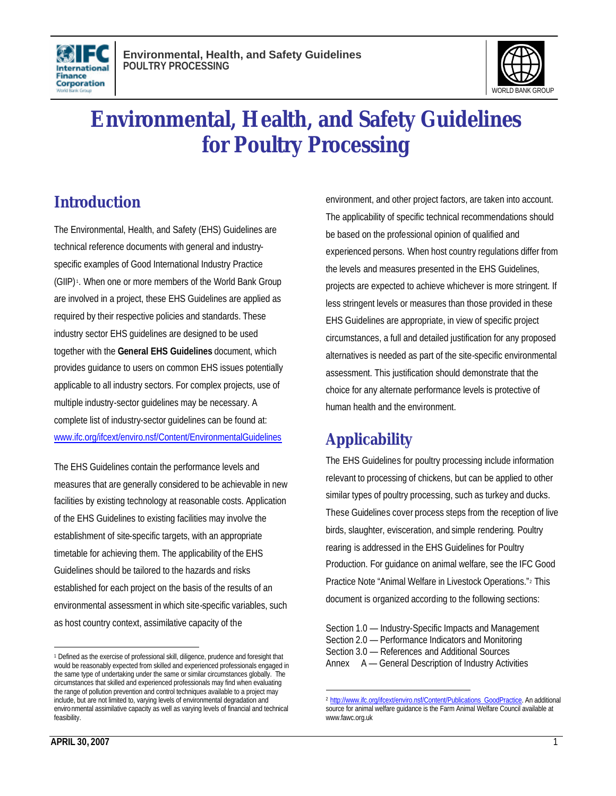



# **Environmental, Health, and Safety Guidelines for Poultry Processing**

# **Introduction**

The Environmental, Health, and Safety (EHS) Guidelines are technical reference documents with general and industryspecific examples of Good International Industry Practice (GIIP) <sup>1</sup> . When one or more members of the World Bank Group are involved in a project, these EHS Guidelines are applied as required by their respective policies and standards. These industry sector EHS guidelines are designed to be used together with the **General EHS Guidelines** document, which provides guidance to users on common EHS issues potentially applicable to all industry sectors. For complex projects, use of multiple industry-sector guidelines may be necessary. A complete list of industry-sector guidelines can be found at: www.ifc.org/ifcext/enviro.nsf/Content/EnvironmentalGuidelines

The EHS Guidelines contain the performance levels and measures that are generally considered to be achievable in new facilities by existing technology at reasonable costs. Application of the EHS Guidelines to existing facilities may involve the establishment of site-specific targets, with an appropriate timetable for achieving them. The applicability of the EHS Guidelines should be tailored to the hazards and risks established for each project on the basis of the results of an environmental assessment in which site-specific variables, such as host country context, assimilative capacity of the

environment, and other project factors, are taken into account. The applicability of specific technical recommendations should be based on the professional opinion of qualified and experienced persons. When host country regulations differ from the levels and measures presented in the EHS Guidelines, projects are expected to achieve whichever is more stringent. If less stringent levels or measures than those provided in these EHS Guidelines are appropriate, in view of specific project circumstances, a full and detailed justification for any proposed alternatives is needed as part of the site-specific environmental assessment. This justification should demonstrate that the choice for any alternate performance levels is protective of human health and the environment.

# **Applicability**

The EHS Guidelines for poultry processing include information relevant to processing of chickens, but can be applied to other similar types of poultry processing, such as turkey and ducks. These Guidelines cover process steps from the reception of live birds, slaughter, evisceration, and simple rendering. Poultry rearing is addressed in the EHS Guidelines for Poultry Production. For guidance on animal welfare, see the IFC Good Practice Note "Animal Welfare in Livestock Operations."<sup>2</sup> This document is organized according to the following sections:

Section 1.0 — Industry-Specific Impacts and Management Section 2.0 — Performance Indicators and Monitoring Section 3.0 — References and Additional Sources Annex A — General Description of Industry Activities

<sup>1</sup> Defined as the exercise of professional skill, diligence, prudence and foresight that would be reasonably expected from skilled and experienced professionals engaged in the same type of undertaking under the same or similar circumstances globally. The circumstances that skilled and experienced professionals may find when evaluating the range of pollution prevention and control techniques available to a project may include, but are not limited to, varying levels of environmental degradation and environmental assimilative capacity as well as varying levels of financial and technical feasibility.

 $\overline{a}$ <sup>2</sup> http://www.ifc.org/ifcext/enviro.nsf/Content/Publications\_GoodPractice. An additional source for animal welfare quidance is the Farm Animal Welfare Council available at www.fawc.org.uk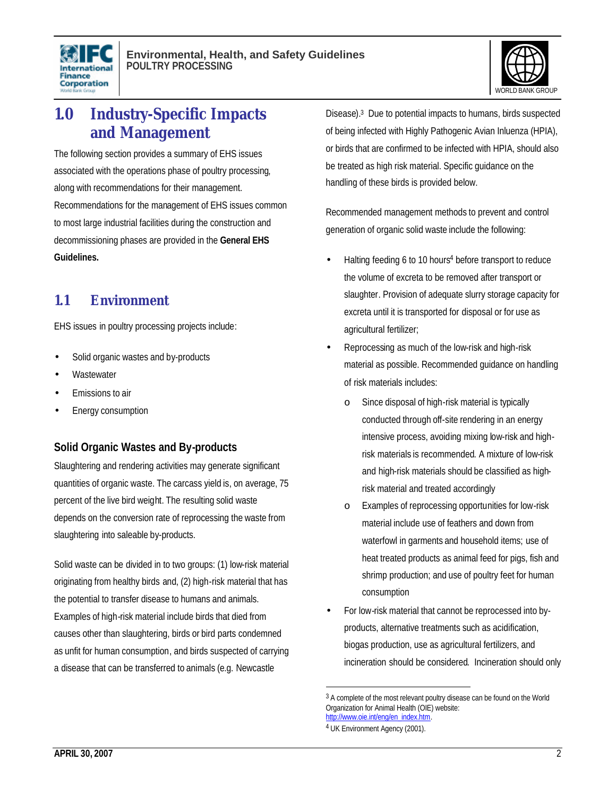



# **1.0 Industry-Specific Impacts and Management**

The following section provides a summary of EHS issues associated with the operations phase of poultry processing, along with recommendations for their management. Recommendations for the management of EHS issues common to most large industrial facilities during the construction and decommissioning phases are provided in the **General EHS Guidelines.** 

# **1.1 Environment**

EHS issues in poultry processing projects include:

- Solid organic wastes and by-products
- **Wastewater**
- Emissions to air
- Energy consumption

### **Solid Organic Wastes and By-products**

Slaughtering and rendering activities may generate significant quantities of organic waste. The carcass yield is, on average, 75 percent of the live bird weight. The resulting solid waste depends on the conversion rate of reprocessing the waste from slaughtering into saleable by-products.

Solid waste can be divided in to two groups: (1) low-risk material originating from healthy birds and, (2) high-risk material that has the potential to transfer disease to humans and animals. Examples of high-risk material include birds that died from causes other than slaughtering, birds or bird parts condemned as unfit for human consumption, and birds suspected of carrying a disease that can be transferred to animals (e.g. Newcastle

Disease). 3 Due to potential impacts to humans, birds suspected of being infected with Highly Pathogenic Avian Inluenza (HPIA), or birds that are confirmed to be infected with HPIA, should also be treated as high risk material. Specific guidance on the handling of these birds is provided below.

Recommended management methods to prevent and control generation of organic solid waste include the following:

- Halting feeding 6 to 10 hours<sup>4</sup> before transport to reduce the volume of excreta to be removed after transport or slaughter. Provision of adequate slurry storage capacity for excreta until it is transported for disposal or for use as agricultural fertilizer;
- Reprocessing as much of the low-risk and high-risk material as possible. Recommended guidance on handling of risk materials includes:
	- o Since disposal of high-risk material is typically conducted through off-site rendering in an energy intensive process, avoiding mixing low-risk and highrisk materials is recommended. A mixture of low-risk and high-risk materials should be classified as highrisk material and treated accordingly
	- Examples of reprocessing opportunities for low-risk material include use of feathers and down from waterfowl in garments and household items; use of heat treated products as animal feed for pigs, fish and shrimp production; and use of poultry feet for human consumption
- For low-risk material that cannot be reprocessed into byproducts, alternative treatments such as acidification, biogas production, use as agricultural fertilizers, and incineration should be considered. Incineration should only

<sup>&</sup>lt;sup>3</sup> A complete of the most relevant poultry disease can be found on the World Organization for Animal Health (OIE) website: http://www.oie.int/eng/en\_index.htm.

<sup>4</sup> UK Environment Agency (2001).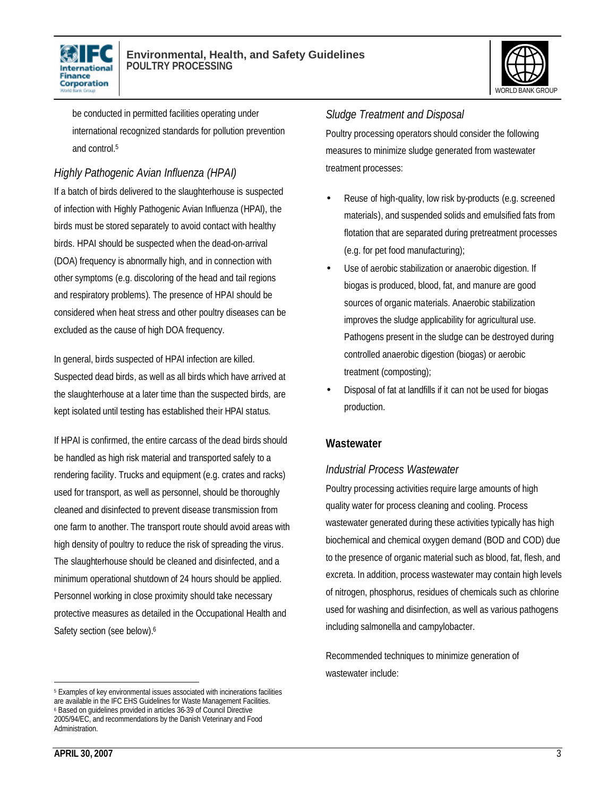



be conducted in permitted facilities operating under international recognized standards for pollution prevention and control.<sup>5</sup>

### *Highly Pathogenic Avian Influenza (HPAI)*

If a batch of birds delivered to the slaughterhouse is suspected of infection with Highly Pathogenic Avian Influenza (HPAI), the birds must be stored separately to avoid contact with healthy birds. HPAI should be suspected when the dead-on-arrival (DOA) frequency is abnormally high, and in connection with other symptoms (e.g. discoloring of the head and tail regions and respiratory problems). The presence of HPAI should be considered when heat stress and other poultry diseases can be excluded as the cause of high DOA frequency.

In general, birds suspected of HPAI infection are killed. Suspected dead birds, as well as all birds which have arrived at the slaughterhouse at a later time than the suspected birds, are kept isolated until testing has established their HPAI status.

If HPAI is confirmed, the entire carcass of the dead birds should be handled as high risk material and transported safely to a rendering facility. Trucks and equipment (e.g. crates and racks) used for transport, as well as personnel, should be thoroughly cleaned and disinfected to prevent disease transmission from one farm to another. The transport route should avoid areas with high density of poultry to reduce the risk of spreading the virus. The slaughterhouse should be cleaned and disinfected, and a minimum operational shutdown of 24 hours should be applied. Personnel working in close proximity should take necessary protective measures as detailed in the Occupational Health and Safety section (see below).<sup>6</sup>

#### *Sludge Treatment and Disposal*

Poultry processing operators should consider the following measures to minimize sludge generated from wastewater treatment processes:

- Reuse of high-quality, low risk by-products (e.g. screened materials), and suspended solids and emulsified fats from flotation that are separated during pretreatment processes (e.g. for pet food manufacturing);
- Use of aerobic stabilization or anaerobic digestion. If biogas is produced, blood, fat, and manure are good sources of organic materials. Anaerobic stabilization improves the sludge applicability for agricultural use. Pathogens present in the sludge can be destroyed during controlled anaerobic digestion (biogas) or aerobic treatment (composting);
- Disposal of fat at landfills if it can not be used for biogas production.

### **Wastewater**

### *Industrial Process Wastewater*

Poultry processing activities require large amounts of high quality water for process cleaning and cooling. Process wastewater generated during these activities typically has high biochemical and chemical oxygen demand (BOD and COD) due to the presence of organic material such as blood, fat, flesh, and excreta. In addition, process wastewater may contain high levels of nitrogen, phosphorus, residues of chemicals such as chlorine used for washing and disinfection, as well as various pathogens including salmonella and campylobacter.

Recommended techniques to minimize generation of wastewater include:

<sup>&</sup>lt;sup>5</sup> Examples of key environmental issues associated with incinerations facilities are available in the IFC EHS Guidelines for Waste Management Facilities. 6 Based on guidelines provided in articles 36-39 of Council Directive 2005/94/EC, and recommendations by the Danish Veterinary and Food Administration.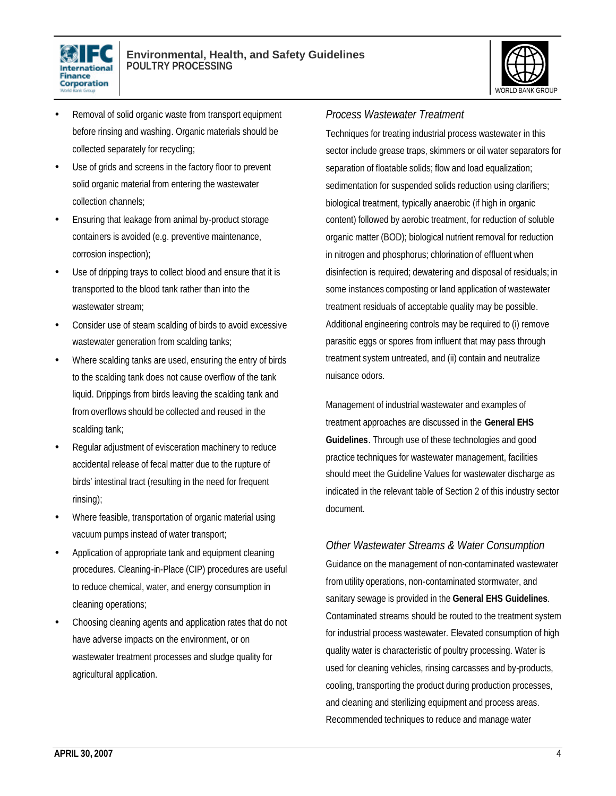



- Removal of solid organic waste from transport equipment before rinsing and washing. Organic materials should be collected separately for recycling;
- Use of grids and screens in the factory floor to prevent solid organic material from entering the wastewater collection channels;
- Ensuring that leakage from animal by-product storage containers is avoided (e.g. preventive maintenance, corrosion inspection);
- Use of dripping trays to collect blood and ensure that it is transported to the blood tank rather than into the wastewater stream;
- Consider use of steam scalding of birds to avoid excessive wastewater generation from scalding tanks;
- Where scalding tanks are used, ensuring the entry of birds to the scalding tank does not cause overflow of the tank liquid. Drippings from birds leaving the scalding tank and from overflows should be collected and reused in the scalding tank;
- Regular adjustment of evisceration machinery to reduce accidental release of fecal matter due to the rupture of birds' intestinal tract (resulting in the need for frequent rinsing);
- Where feasible, transportation of organic material using vacuum pumps instead of water transport;
- Application of appropriate tank and equipment cleaning procedures. Cleaning-in-Place (CIP) procedures are useful to reduce chemical, water, and energy consumption in cleaning operations;
- Choosing cleaning agents and application rates that do not have adverse impacts on the environment, or on wastewater treatment processes and sludge quality for agricultural application.

### *Process Wastewater Treatment*

Techniques for treating industrial process wastewater in this sector include grease traps, skimmers or oil water separators for separation of floatable solids; flow and load equalization; sedimentation for suspended solids reduction using clarifiers; biological treatment, typically anaerobic (if high in organic content) followed by aerobic treatment, for reduction of soluble organic matter (BOD); biological nutrient removal for reduction in nitrogen and phosphorus; chlorination of effluent when disinfection is required; dewatering and disposal of residuals; in some instances composting or land application of wastewater treatment residuals of acceptable quality may be possible. Additional engineering controls may be required to (i) remove parasitic eggs or spores from influent that may pass through treatment system untreated, and (ii) contain and neutralize nuisance odors.

Management of industrial wastewater and examples of treatment approaches are discussed in the **General EHS Guidelines**. Through use of these technologies and good practice techniques for wastewater management, facilities should meet the Guideline Values for wastewater discharge as indicated in the relevant table of Section 2 of this industry sector document.

*Other Wastewater Streams & Water Consumption* Guidance on the management of non-contaminated wastewater from utility operations, non-contaminated stormwater, and sanitary sewage is provided in the **General EHS Guidelines**. Contaminated streams should be routed to the treatment system for industrial process wastewater. Elevated consumption of high quality water is characteristic of poultry processing. Water is used for cleaning vehicles, rinsing carcasses and by-products, cooling, transporting the product during production processes, and cleaning and sterilizing equipment and process areas. Recommended techniques to reduce and manage water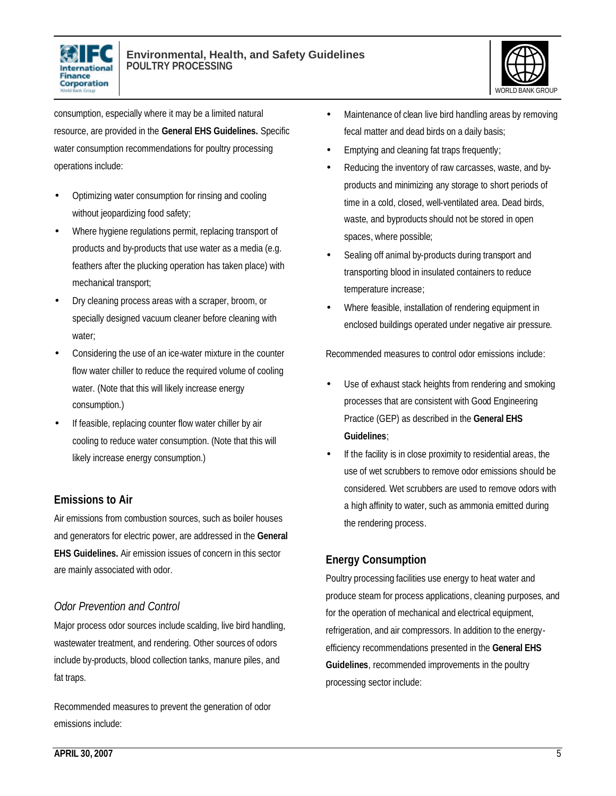



consumption, especially where it may be a limited natural resource, are provided in the **General EHS Guidelines.** Specific water consumption recommendations for poultry processing operations include:

- Optimizing water consumption for rinsing and cooling without jeopardizing food safety;
- Where hygiene regulations permit, replacing transport of products and by-products that use water as a media (e.g. feathers after the plucking operation has taken place) with mechanical transport;
- Dry cleaning process areas with a scraper, broom, or specially designed vacuum cleaner before cleaning with water;
- Considering the use of an ice-water mixture in the counter flow water chiller to reduce the required volume of cooling water. (Note that this will likely increase energy consumption.)
- If feasible, replacing counter flow water chiller by air cooling to reduce water consumption. (Note that this will likely increase energy consumption.)

### **Emissions to Air**

Air emissions from combustion sources, such as boiler houses and generators for electric power, are addressed in the **General EHS Guidelines.** Air emission issues of concern in this sector are mainly associated with odor.

### *Odor Prevention and Control*

Major process odor sources include scalding, live bird handling, wastewater treatment, and rendering. Other sources of odors include by-products, blood collection tanks, manure piles, and fat traps.

Recommended measures to prevent the generation of odor emissions include:

- Maintenance of clean live bird handling areas by removing fecal matter and dead birds on a daily basis;
- Emptying and cleaning fat traps frequently;
- Reducing the inventory of raw carcasses, waste, and byproducts and minimizing any storage to short periods of time in a cold, closed, well-ventilated area. Dead birds, waste, and byproducts should not be stored in open spaces, where possible;
- Sealing off animal by-products during transport and transporting blood in insulated containers to reduce temperature increase;
- Where feasible, installation of rendering equipment in enclosed buildings operated under negative air pressure.

Recommended measures to control odor emissions include:

- Use of exhaust stack heights from rendering and smoking processes that are consistent with Good Engineering Practice (GEP) as described in the **General EHS Guidelines**;
- If the facility is in close proximity to residential areas, the use of wet scrubbers to remove odor emissions should be considered. Wet scrubbers are used to remove odors with a high affinity to water, such as ammonia emitted during the rendering process.

# **Energy Consumption**

Poultry processing facilities use energy to heat water and produce steam for process applications, cleaning purposes, and for the operation of mechanical and electrical equipment, refrigeration, and air compressors. In addition to the energyefficiency recommendations presented in the **General EHS Guidelines**, recommended improvements in the poultry processing sector include: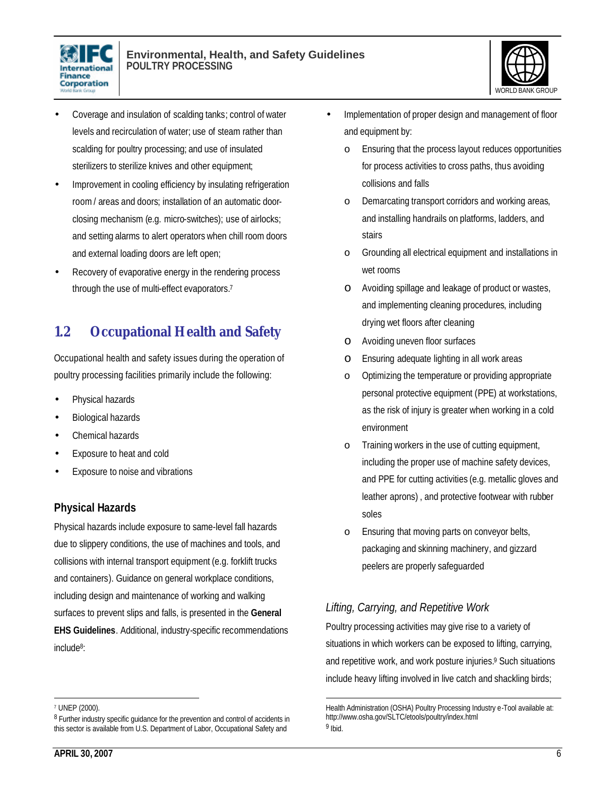



- Coverage and insulation of scalding tanks; control of water levels and recirculation of water; use of steam rather than scalding for poultry processing; and use of insulated sterilizers to sterilize knives and other equipment;
- Improvement in cooling efficiency by insulating refrigeration room/ areas and doors; installation of an automatic doorclosing mechanism (e.g. micro-switches); use of airlocks; and setting alarms to alert operators when chill room doors and external loading doors are left open;
- Recovery of evaporative energy in the rendering process through the use of multi-effect evaporators.<sup>7</sup>

# **1.2 Occupational Health and Safety**

Occupational health and safety issues during the operation of poultry processing facilities primarily include the following:

- Physical hazards
- Biological hazards
- Chemical hazards
- Exposure to heat and cold
- Exposure to noise and vibrations

### **Physical Hazards**

Physical hazards include exposure to same-level fall hazards due to slippery conditions, the use of machines and tools, and collisions with internal transport equipment (e.g. forklift trucks and containers). Guidance on general workplace conditions, including design and maintenance of working and walking surfaces to prevent slips and falls, is presented in the **General EHS Guidelines**. Additional, industry-specific recommendations include<sup>8</sup> :

- Implementation of proper design and management of floor and equipment by:
	- o Ensuring that the process layout reduces opportunities for process activities to cross paths, thus avoiding collisions and falls
	- o Demarcating transport corridors and working areas, and installing handrails on platforms, ladders, and stairs
	- o Grounding all electrical equipment and installations in wet rooms
	- o Avoiding spillage and leakage of product or wastes, and implementing cleaning procedures, including drying wet floors after cleaning
	- o Avoiding uneven floor surfaces
	- o Ensuring adequate lighting in all work areas
	- o Optimizing the temperature or providing appropriate personal protective equipment (PPE) at workstations, as the risk of injury is greater when working in a cold environment
	- o Training workers in the use of cutting equipment, including the proper use of machine safety devices, and PPE for cutting activities (e.g. metallic gloves and leather aprons) , and protective footwear with rubber soles
	- o Ensuring that moving parts on conveyor belts, packaging and skinning machinery, and gizzard peelers are properly safeguarded

# *Lifting, Carrying, and Repetitive Work*

Poultry processing activities may give rise to a variety of situations in which workers can be exposed to lifting, carrying, and repetitive work, and work posture injuries.<sup>9</sup> Such situations include heavy lifting involved in live catch and shackling birds;

 $\overline{a}$ 7 UNEP (2000).

<sup>&</sup>lt;sup>8</sup> Further industry specific guidance for the prevention and control of accidents in this sector is available from U.S. Department of Labor, Occupational Safety and

<sup>1</sup> Health Administration (OSHA) Poultry Processing Industry e-Tool available at: http://www.osha.gov/SLTC/etools/poultry/index.html <sup>9</sup> Ibid.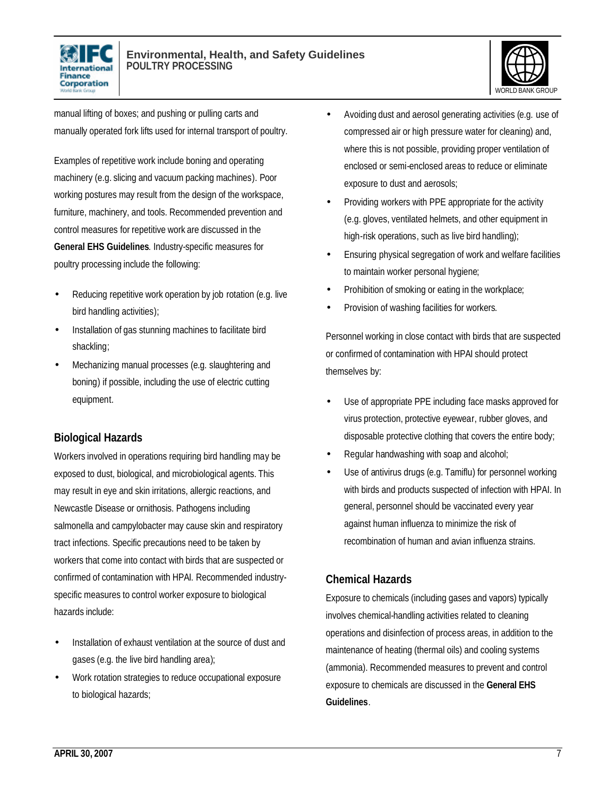



manual lifting of boxes; and pushing or pulling carts and manually operated fork lifts used for internal transport of poultry.

Examples of repetitive work include boning and operating machinery (e.g. slicing and vacuum packing machines). Poor working postures may result from the design of the workspace, furniture, machinery, and tools. Recommended prevention and control measures for repetitive work are discussed in the **General EHS Guidelines**. Industry-specific measures for poultry processing include the following:

- Reducing repetitive work operation by job rotation (e.g. live bird handling activities);
- Installation of gas stunning machines to facilitate bird shackling;
- Mechanizing manual processes (e.g. slaughtering and boning) if possible, including the use of electric cutting equipment.

### **Biological Hazards**

Workers involved in operations requiring bird handling may be exposed to dust, biological, and microbiological agents. This may result in eye and skin irritations, allergic reactions, and Newcastle Disease or ornithosis. Pathogens including salmonella and campylobacter may cause skin and respiratory tract infections. Specific precautions need to be taken by workers that come into contact with birds that are suspected or confirmed of contamination with HPAI. Recommended industryspecific measures to control worker exposure to biological hazards include:

- Installation of exhaust ventilation at the source of dust and gases (e.g. the live bird handling area);
- Work rotation strategies to reduce occupational exposure to biological hazards;
- Avoiding dust and aerosol generating activities (e.g. use of compressed air or high pressure water for cleaning) and, where this is not possible, providing proper ventilation of enclosed or semi-enclosed areas to reduce or eliminate exposure to dust and aerosols;
- Providing workers with PPE appropriate for the activity (e.g. gloves, ventilated helmets, and other equipment in high-risk operations, such as live bird handling);
- Ensuring physical segregation of work and welfare facilities to maintain worker personal hygiene;
- Prohibition of smoking or eating in the workplace;
- Provision of washing facilities for workers.

Personnel working in close contact with birds that are suspected or confirmed of contamination with HPAI should protect themselves by:

- Use of appropriate PPE including face masks approved for virus protection, protective eyewear, rubber gloves, and disposable protective clothing that covers the entire body;
- Regular handwashing with soap and alcohol;
- Use of antivirus drugs (e.g. Tamiflu) for personnel working with birds and products suspected of infection with HPAI. In general, personnel should be vaccinated every year against human influenza to minimize the risk of recombination of human and avian influenza strains.

### **Chemical Hazards**

Exposure to chemicals (including gases and vapors) typically involves chemical-handling activities related to cleaning operations and disinfection of process areas, in addition to the maintenance of heating (thermal oils) and cooling systems (ammonia). Recommended measures to prevent and control exposure to chemicals are discussed in the **General EHS Guidelines**.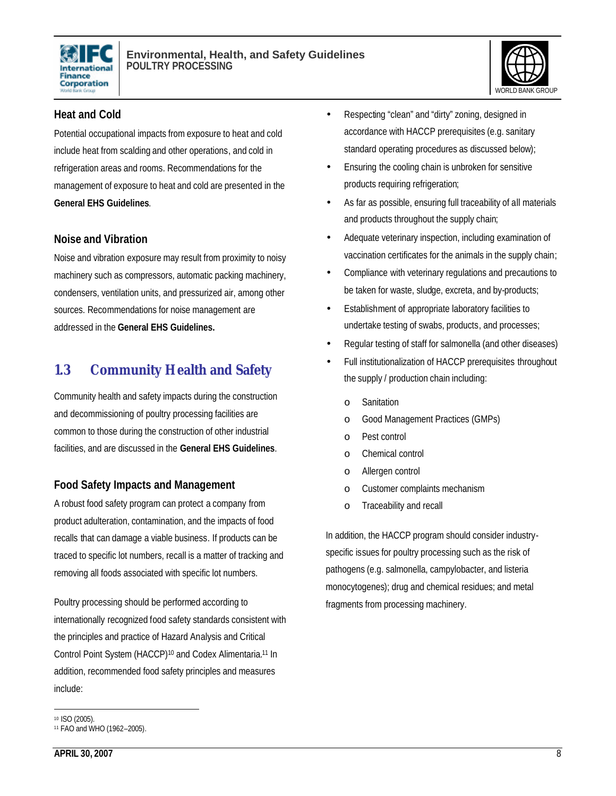



### **Heat and Cold**

Potential occupational impacts from exposure to heat and cold include heat from scalding and other operations, and cold in refrigeration areas and rooms. Recommendations for the management of exposure to heat and cold are presented in the **General EHS Guidelines**.

### **Noise and Vibration**

Noise and vibration exposure may result from proximity to noisy machinery such as compressors, automatic packing machinery, condensers, ventilation units, and pressurized air, among other sources. Recommendations for noise management are addressed in the **General EHS Guidelines.**

# **1.3 Community Health and Safety**

Community health and safety impacts during the construction and decommissioning of poultry processing facilities are common to those during the construction of other industrial facilities, and are discussed in the **General EHS Guidelines**.

# **Food Safety Impacts and Management**

A robust food safety program can protect a company from product adulteration, contamination, and the impacts of food recalls that can damage a viable business. If products can be traced to specific lot numbers, recall is a matter of tracking and removing all foods associated with specific lot numbers.

Poultry processing should be performed according to internationally recognized food safety standards consistent with the principles and practice of Hazard Analysis and Critical Control Point System (HACCP) <sup>10</sup> and Codex Alimentaria.<sup>11</sup> In addition, recommended food safety principles and measures include:

- Ensuring the cooling chain is unbroken for sensitive products requiring refrigeration;
- As far as possible, ensuring full traceability of all materials and products throughout the supply chain;
- Adequate veterinary inspection, including examination of vaccination certificates for the animals in the supply chain;
- Compliance with veterinary regulations and precautions to be taken for waste, sludge, excreta, and by-products;
- Establishment of appropriate laboratory facilities to undertake testing of swabs, products, and processes;
- Regular testing of staff for salmonella (and other diseases)
- Full institutionalization of HACCP prerequisites throughout the supply / production chain including:
	- o Sanitation
	- o Good Management Practices (GMPs)
	- o Pest control
	- o Chemical control
	- o Allergen control
	- o Customer complaints mechanism
	- o Traceability and recall

In addition, the HACCP program should consider industryspecific issues for poultry processing such as the risk of pathogens (e.g. salmonella, campylobacter, and listeria monocytogenes); drug and chemical residues; and metal fragments from processing machinery.

<sup>•</sup> Respecting "clean" and "dirty" zoning, designed in accordance with HACCP prerequisites (e.g. sanitary standard operating procedures as discussed below);

 $\overline{a}$ <sup>10</sup> ISO (2005).

<sup>11</sup> FAO and WHO (1962–2005).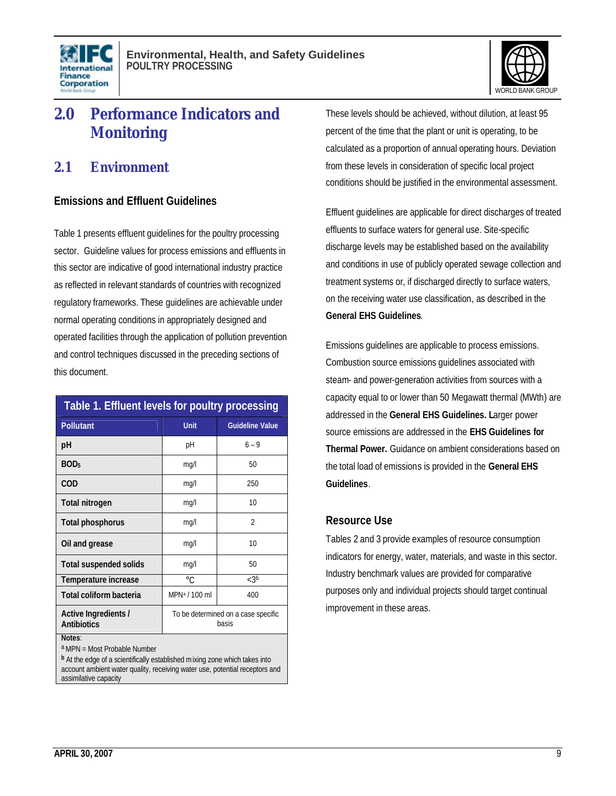



# **2.0 Performance Indicators and Monitoring**

# **2.1 Environment**

### **Emissions and Effluent Guidelines**

Table 1 presents effluent guidelines for the poultry processing sector. Guideline values for process emissions and effluents in this sector are indicative of good international industry practice as reflected in relevant standards of countries with recognized regulatory frameworks. These guidelines are achievable under normal operating conditions in appropriately designed and operated facilities through the application of pollution prevention and control techniques discussed in the preceding sections of this document.

| Table 1. Effluent levels for poultry processing |                                              |                          |  |  |  |  |  |
|-------------------------------------------------|----------------------------------------------|--------------------------|--|--|--|--|--|
| <b>Pollutant</b>                                | Unit                                         | <b>Guideline Value</b>   |  |  |  |  |  |
| рH                                              | рH                                           | $6 - 9$                  |  |  |  |  |  |
| BOD <sub>5</sub>                                | mq/l                                         | 50                       |  |  |  |  |  |
| COD                                             | mq/l                                         | 250                      |  |  |  |  |  |
| <b>Total nitrogen</b>                           | mq/l                                         | 10                       |  |  |  |  |  |
| Total phosphorus                                | mq/l                                         | $\overline{\mathcal{L}}$ |  |  |  |  |  |
| Oil and grease                                  | mq/l                                         | 10                       |  |  |  |  |  |
| <b>Total suspended solids</b>                   | mg/l                                         | 50                       |  |  |  |  |  |
| Temperature increase                            | $\circ$ C.                                   | < 3 <sup>b</sup>         |  |  |  |  |  |
| Total coliform bacteria                         | MPN <sup>a</sup> / 100 ml                    | 400                      |  |  |  |  |  |
| Active Ingredients /<br><b>Antibiotics</b>      | To be determined on a case specific<br>hasis |                          |  |  |  |  |  |
| Notes:                                          |                                              |                          |  |  |  |  |  |

a MPN = Most Probable Number

**<sup>b</sup>**At the edge of a scientifically established mixing zone which takes into account ambient water quality, receiving water use, potential receptors and assimilative capacity

These levels should be achieved, without dilution, at least 95 percent of the time that the plant or unit is operating, to be calculated as a proportion of annual operating hours. Deviation from these levels in consideration of specific local project conditions should be justified in the environmental assessment.

Effluent guidelines are applicable for direct discharges of treated effluents to surface waters for general use. Site-specific discharge levels may be established based on the availability and conditions in use of publicly operated sewage collection and treatment systems or, if discharged directly to surface waters, on the receiving water use classification, as described in the **General EHS Guidelines**.

Emissions guidelines are applicable to process emissions. Combustion source emissions guidelines associated with steam- and power-generation activities from sources with a capacity equal to or lower than 50 Megawatt thermal (MWth) are addressed in the **General EHS Guidelines. L**arger power source emissions are addressed in the **EHS Guidelines for Thermal Power.** Guidance on ambient considerations based on the total load of emissions is provided in the **General EHS Guidelines**.

### **Resource Use**

Tables 2 and 3 provide examples of resource consumption indicators for energy, water, materials, and waste in this sector. Industry benchmark values are provided for comparative purposes only and individual projects should target continual improvement in these areas.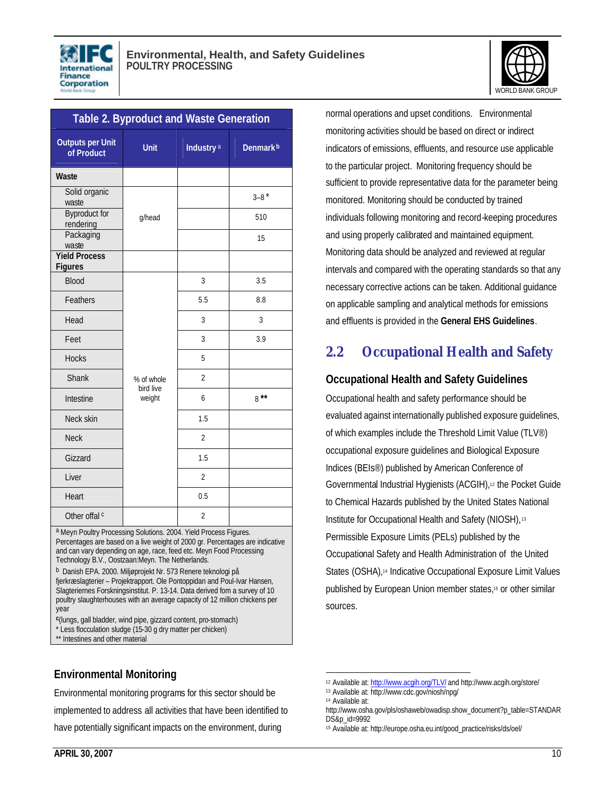

| <b>Table 2. Byproduct and Waste Generation</b> |                         |                       |                      |  |  |  |  |  |
|------------------------------------------------|-------------------------|-----------------------|----------------------|--|--|--|--|--|
| <b>Outputs per Unit</b><br>of Product          | <b>Unit</b>             | Industry <sup>a</sup> | Denmark <sup>b</sup> |  |  |  |  |  |
| Waste                                          |                         |                       |                      |  |  |  |  |  |
| Solid organic<br>waste                         |                         |                       | $3 - 8$ *            |  |  |  |  |  |
| <b>Byproduct for</b><br>rendering              | g/head                  |                       | 510                  |  |  |  |  |  |
| Packaging<br>waste                             |                         |                       | 15                   |  |  |  |  |  |
| <b>Yield Process</b><br><b>Figures</b>         |                         |                       |                      |  |  |  |  |  |
| <b>Blood</b>                                   |                         | 3                     | 3.5                  |  |  |  |  |  |
| Feathers                                       |                         | 5.5                   | 8.8                  |  |  |  |  |  |
| Head                                           |                         | 3                     | 3                    |  |  |  |  |  |
| Feet                                           |                         | 3                     | 3.9                  |  |  |  |  |  |
| <b>Hocks</b>                                   |                         | 5                     |                      |  |  |  |  |  |
| Shank                                          | % of whole<br>bird live | $\overline{2}$        |                      |  |  |  |  |  |
| Intestine                                      | weight                  | 6                     | $8***$               |  |  |  |  |  |
| Neck skin                                      |                         | 1.5                   |                      |  |  |  |  |  |
| <b>Neck</b>                                    |                         | $\overline{2}$        |                      |  |  |  |  |  |
| Gizzard                                        |                         | 1.5                   |                      |  |  |  |  |  |
| Liver                                          |                         | $\overline{2}$        |                      |  |  |  |  |  |
| Heart                                          |                         | 0.5                   |                      |  |  |  |  |  |
| Other offal c                                  |                         | 2                     |                      |  |  |  |  |  |

a Meyn Poultry Processing Solutions. 2004. Yield Process Figures. Percentages are based on a live weight of 2000 gr. Percentages are indicative and can vary depending on age, race, feed etc. Meyn Food Processing Technology B.V., Oostzaan:Meyn. The Netherlands.

<sup>b</sup> Danish EPA. 2000. Miljøprojekt Nr. 573 Renere teknologi på fjerkræslagterier – Projektrapport. Ole Pontoppidan and Poul-Ivar Hansen, Slagteriernes Forskningsinstitut. P. 13-14. Data derived fom a survey of 10 poultry slaughterhouses with an average capacity of 12 million chickens per year

**c** (lungs, gall bladder, wind pipe, gizzard content, pro-stomach) \* Less flocculation sludge (15-30 g dry matter per chicken)

\*\* Intestines and other material

### **Environmental Monitoring**

Environmental monitoring programs for this sector should be implemented to address all activities that have been identified to have potentially significant impacts on the environment, during

normal operations and upset conditions. Environmental monitoring activities should be based on direct or indirect indicators of emissions, effluents, and resource use applicable to the particular project. Monitoring frequency should be sufficient to provide representative data for the parameter being monitored. Monitoring should be conducted by trained individuals following monitoring and record-keeping procedures and using properly calibrated and maintained equipment. Monitoring data should be analyzed and reviewed at regular intervals and compared with the operating standards so that any necessary corrective actions can be taken. Additional guidance on applicable sampling and analytical methods for emissions and effluents is provided in the **General EHS Guidelines**.

# **2.2 Occupational Health and Safety**

### **Occupational Health and Safety Guidelines**

Occupational health and safety performance should be evaluated against internationally published exposure guidelines, of which examples include the Threshold Limit Value (TLV®) occupational exposure guidelines and Biological Exposure Indices (BEIs®) published by American Conference of Governmental Industrial Hygienists (ACGIH),12 the Pocket Guide to Chemical Hazards published by the United States National Institute for Occupational Health and Safety (NIOSH), 13 Permissible Exposure Limits (PELs) published by the Occupational Safety and Health Administration of the United States (OSHA),<sup>14</sup> Indicative Occupational Exposure Limit Values published by European Union member states,15 or other similar sources.

<sup>1</sup> <sup>12</sup> Available at: http://www.acgih.org/TLV/ and http://www.acgih.org/store/

<sup>13</sup> Available at: http://www.cdc.gov/niosh/npg/

<sup>14</sup> Available at:

http://www.osha.gov/pls/oshaweb/owadisp.show\_document?p\_table=STANDAR DS&p\_id=9992

<sup>15</sup> Available at: http://europe.osha.eu.int/good\_practice/risks/ds/oel/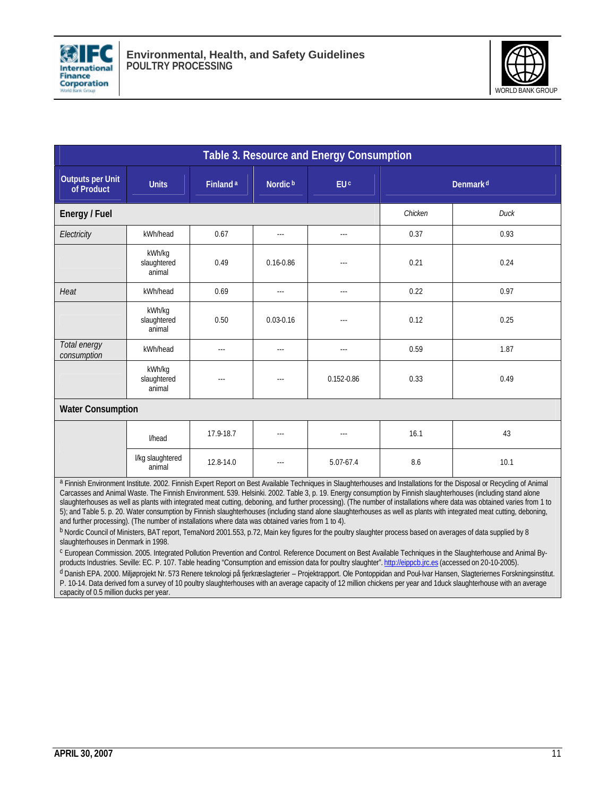



| Table 3. Resource and Energy Consumption                                                                                                                                                                                                                                                                                                                                                                                                                                                                                                                                                                                                                                                                                                                                                                                                                                                                                                                                                                                                                                                                                                                                                                                                                                                                                                                          |                                 |                      |                      |                        |                      |      |  |  |
|-------------------------------------------------------------------------------------------------------------------------------------------------------------------------------------------------------------------------------------------------------------------------------------------------------------------------------------------------------------------------------------------------------------------------------------------------------------------------------------------------------------------------------------------------------------------------------------------------------------------------------------------------------------------------------------------------------------------------------------------------------------------------------------------------------------------------------------------------------------------------------------------------------------------------------------------------------------------------------------------------------------------------------------------------------------------------------------------------------------------------------------------------------------------------------------------------------------------------------------------------------------------------------------------------------------------------------------------------------------------|---------------------------------|----------------------|----------------------|------------------------|----------------------|------|--|--|
| Outputs per Unit<br>of Product                                                                                                                                                                                                                                                                                                                                                                                                                                                                                                                                                                                                                                                                                                                                                                                                                                                                                                                                                                                                                                                                                                                                                                                                                                                                                                                                    | <b>Units</b>                    | Finland <sup>a</sup> | Nordic <sup>b</sup>  | <b>EU</b> <sup>c</sup> | Denmark <sup>d</sup> |      |  |  |
| Energy / Fuel                                                                                                                                                                                                                                                                                                                                                                                                                                                                                                                                                                                                                                                                                                                                                                                                                                                                                                                                                                                                                                                                                                                                                                                                                                                                                                                                                     |                                 |                      |                      |                        | Chicken              | Duck |  |  |
| Electricity                                                                                                                                                                                                                                                                                                                                                                                                                                                                                                                                                                                                                                                                                                                                                                                                                                                                                                                                                                                                                                                                                                                                                                                                                                                                                                                                                       | kWh/head                        | 0.67                 | $\sim$ $\sim$ $\sim$ | $\sim$ $\sim$          | 0.37                 | 0.93 |  |  |
|                                                                                                                                                                                                                                                                                                                                                                                                                                                                                                                                                                                                                                                                                                                                                                                                                                                                                                                                                                                                                                                                                                                                                                                                                                                                                                                                                                   | kWh/kg<br>slaughtered<br>animal | 0.49                 | $0.16 - 0.86$        | $\sim$ $\sim$          | 0.21                 | 0.24 |  |  |
| Heat                                                                                                                                                                                                                                                                                                                                                                                                                                                                                                                                                                                                                                                                                                                                                                                                                                                                                                                                                                                                                                                                                                                                                                                                                                                                                                                                                              | kWh/head                        | 0.69                 | $\sim$ $\sim$ $\sim$ | $\sim$ $\sim$          | 0.22                 | 0.97 |  |  |
|                                                                                                                                                                                                                                                                                                                                                                                                                                                                                                                                                                                                                                                                                                                                                                                                                                                                                                                                                                                                                                                                                                                                                                                                                                                                                                                                                                   | kWh/kg<br>slaughtered<br>animal | 0.50                 | $0.03 - 0.16$        | $\sim$                 | 0.12                 | 0.25 |  |  |
| Total energy<br>consumption                                                                                                                                                                                                                                                                                                                                                                                                                                                                                                                                                                                                                                                                                                                                                                                                                                                                                                                                                                                                                                                                                                                                                                                                                                                                                                                                       | kWh/head                        | $\sim$ $\sim$        | $\sim$ $\sim$ $\sim$ | $\sim$                 | 0.59                 | 1.87 |  |  |
|                                                                                                                                                                                                                                                                                                                                                                                                                                                                                                                                                                                                                                                                                                                                                                                                                                                                                                                                                                                                                                                                                                                                                                                                                                                                                                                                                                   | kWh/kg<br>slaughtered<br>animal | ---                  | ---                  | $0.152 - 0.86$         | 0.33                 | 0.49 |  |  |
| <b>Water Consumption</b>                                                                                                                                                                                                                                                                                                                                                                                                                                                                                                                                                                                                                                                                                                                                                                                                                                                                                                                                                                                                                                                                                                                                                                                                                                                                                                                                          |                                 |                      |                      |                        |                      |      |  |  |
|                                                                                                                                                                                                                                                                                                                                                                                                                                                                                                                                                                                                                                                                                                                                                                                                                                                                                                                                                                                                                                                                                                                                                                                                                                                                                                                                                                   | l/head                          | 17.9-18.7            | $\sim$               | $\sim$                 | 16.1                 | 43   |  |  |
|                                                                                                                                                                                                                                                                                                                                                                                                                                                                                                                                                                                                                                                                                                                                                                                                                                                                                                                                                                                                                                                                                                                                                                                                                                                                                                                                                                   | I/kg slaughtered<br>animal      | 12.8-14.0            | $\sim$ $\sim$ $\sim$ | 5.07-67.4              | 8.6                  | 10.1 |  |  |
| a Finnish Environment Institute. 2002. Finnish Expert Report on Best Available Techniques in Slaughterhouses and Installations for the Disposal or Recycling of Animal<br>Carcasses and Animal Waste. The Finnish Environment. 539. Helsinki. 2002. Table 3, p. 19. Energy consumption by Finnish slaughterhouses (including stand alone<br>slaughterhouses as well as plants with integrated meat cutting, deboning, and further processing). (The number of installations where data was obtained varies from 1 to<br>5); and Table 5. p. 20. Water consumption by Finnish slaughterhouses (including stand alone slaughterhouses as well as plants with integrated meat cutting, deboning,<br>and further processing). (The number of installations where data was obtained varies from 1 to 4).<br><sup>b</sup> Nordic Council of Ministers, BAT report, TemaNord 2001.553, p.72, Main key figures for the poultry slaughter process based on averages of data supplied by 8<br>slaughterhouses in Denmark in 1998.<br><sup>c</sup> European Commission. 2005. Integrated Pollution Prevention and Control. Reference Document on Best Available Techniques in the Slaughterhouse and Animal By-<br>reducts inductive Souther EC, D, 107, Table beading "Consumption and emission data for poultry slaughter", http://eip.pob.irs.gs (assessed on 20,10,2005) |                                 |                      |                      |                        |                      |      |  |  |

products Industries. Seville: EC. P. 107. Table heading "Consumption and emission data for poultry slaughter". http://eippcb.jrc.es (accessed on 20-10-2005). <sup>d</sup> Danish EPA. 2000. Miljøprojekt Nr. 573 Renere teknologi på fjerkræslagterier – Projektrapport. Ole Pontoppidan and Poul-Ivar Hansen, Slagteriernes Forskningsinstitut. P. 10-14. Data derived fom a survey of 10 poultry slaughterhouses with an average capacity of 12 million chickens per year and 1duck slaughterhouse with an average capacity of 0.5 million ducks per year.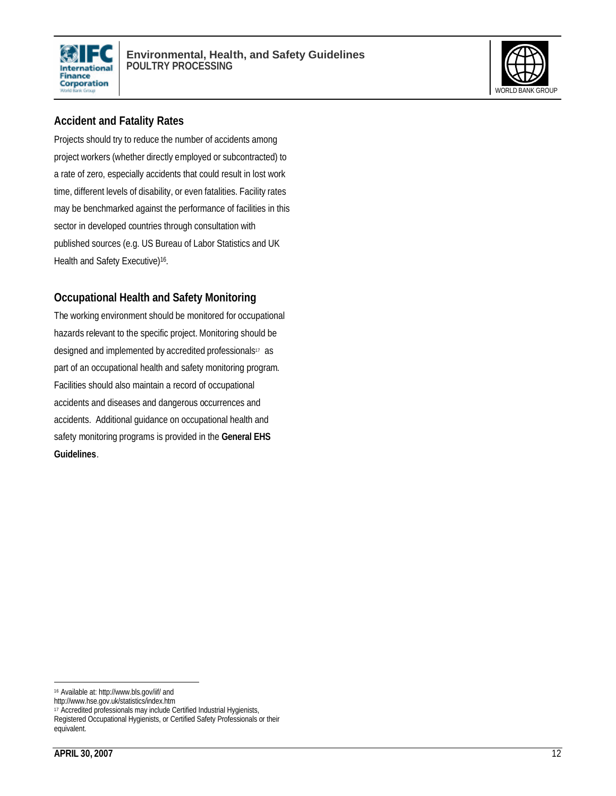



### **Accident and Fatality Rates**

Projects should try to reduce the number of accidents among project workers (whether directly employed or subcontracted) to a rate of zero, especially accidents that could result in lost work time, different levels of disability, or even fatalities. Facility rates may be benchmarked against the performance of facilities in this sector in developed countries through consultation with published sources (e.g. US Bureau of Labor Statistics and UK Health and Safety Executive)<sup>16</sup>.

### **Occupational Health and Safety Monitoring**

The working environment should be monitored for occupational hazards relevant to the specific project. Monitoring should be designed and implemented by accredited professionals<sup>17</sup> as part of an occupational health and safety monitoring program. Facilities should also maintain a record of occupational accidents and diseases and dangerous occurrences and accidents. Additional guidance on occupational health and safety monitoring programs is provided in the **General EHS Guidelines**.

<sup>16</sup> Available at: http://www.bls.gov/iif/ and

http://www.hse.gov.uk/statistics/index.htm

<sup>17</sup> Accredited professionals may include Certified Industrial Hygienists,

Registered Occupational Hygienists, or Certified Safety Professionals or their equivalent.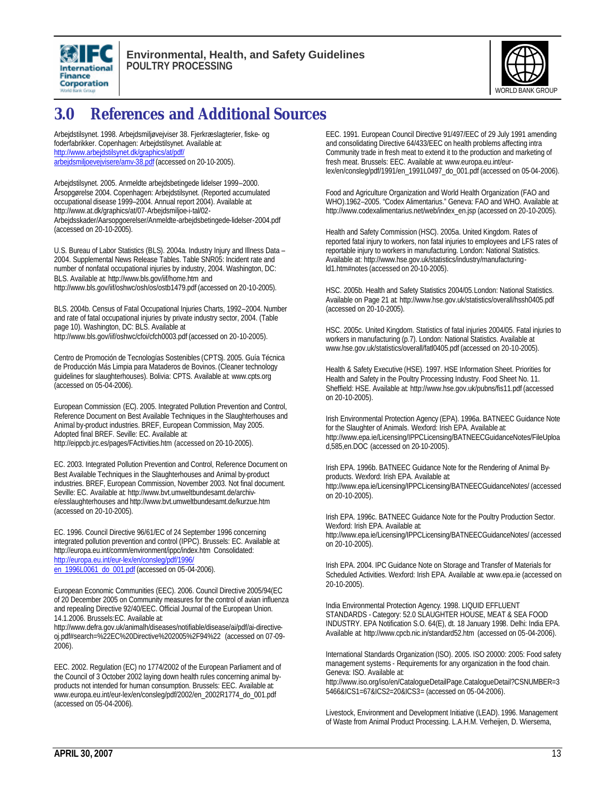



# **3.0 References and Additional Sources**

Arbejdstilsynet. 1998. Arbejdsmiljøvejviser 38. Fjerkræslagterier, fiske- og foderfabrikker. Copenhagen: Arbejdstilsynet. Available at: http://www.arbejdstilsynet.dk/graphics/at/pdf/ arbejdsmiljoevejvisere/amv-38.pdf (accessed on 20-10-2005).

Arbejdstilsynet. 2005. Anmeldte arbejdsbetingede lidelser 1999–2000. Årsopgørelse 2004. Copenhagen: Arbejdstilsynet. (Reported accumulated occupational disease 1999–2004. Annual report 2004). Available at: http://www.at.dk/graphics/at/07-Arbejdsmiljoe-i-tal/02- Arbejdsskader/Aarsopgoerelser/Anmeldte-arbejdsbetingede-lidelser-2004.pdf (accessed on 20-10-2005).

U.S. Bureau of Labor Statistics (BLS). 2004a. Industry Injury and Illness Data – 2004. Supplemental News Release Tables. Table SNR05: Incident rate and number of nonfatal occupational injuries by industry, 2004. Washington, DC: BLS. Available at: http://www.bls.gov/iif/home.htm and http://www.bls.gov/iif/oshwc/osh/os/ostb1479.pdf (accessed on 20-10-2005).

BLS. 2004b. Census of Fatal Occupational Injuries Charts, 1992–2004. Number and rate of fatal occupational injuries by private industry sector, 2004. (Table page 10). Washington, DC: BLS. Available at http://www.bls.gov/iif/oshwc/cfoi/cfch0003.pdf (accessed on 20-10-2005).

Centro de Promoción de Tecnologías Sostenibles (CPTS). 2005. Guía Técnica de Producción Más Limpia para Mataderos de Bovinos. (Cleaner technology guidelines for slaughterhouses). Bolivia: CPTS. Available at: www.cpts.org (accessed on 05-04-2006).

European Commission (EC). 2005. Integrated Pollution Prevention and Control, Reference Document on Best Available Techniques in the Slaughterhouses and Animal by-product industries. BREF, European Commission, May 2005. Adopted final BREF. Seville: EC. Available at: http://eippcb.jrc.es/pages/FActivities.htm (accessed on 20-10-2005).

EC. 2003. Integrated Pollution Prevention and Control, Reference Document on Best Available Techniques in the Slaughterhouses and Animal by-product industries. BREF, European Commission, November 2003. Not final document. Seville: EC. Available at: http://www.bvt.umweltbundesamt.de/archive/esslaughterhouses and http://www.bvt.umweltbundesamt.de/kurzue.htm (accessed on 20-10-2005).

EC. 1996. Council Directive 96/61/EC of 24 September 1996 concerning integrated pollution prevention and control (IPPC). Brussels: EC. Available at: http://europa.eu.int/comm/environment/ippc/index.htm Consolidated: http://europa.eu.int/eur-lex/en/consleg/pdf/1996/ en\_1996L0061\_do\_001.pdf (accessed on 05-04-2006).

European Economic Communities (EEC). 2006. Council Directive 2005/94(EC of 20 December 2005 on Community measures for the control of avian influenza and repealing Directive 92/40/EEC. Official Journal of the European Union. 14.1.2006. Brussels:EC. Available at:

http://www.defra.gov.uk/animalh/diseases/notifiable/disease/ai/pdf/ai-directiveoj.pdf#search=%22EC%20Directive%202005%2F94%22 (accessed on 07-09- 2006).

EEC. 2002. Regulation (EC) no 1774/2002 of the European Parliament and of the Council of 3 October 2002 laying down health rules concerning animal byproducts not intended for human consumption. Brussels: EEC. Available at: www.europa.eu.int/eur-lex/en/consleg/pdf/2002/en\_2002R1774\_do\_001.pdf (accessed on 05-04-2006).

EEC. 1991. European Council Directive 91/497/EEC of 29 July 1991 amending and consolidating Directive 64/433/EEC on health problems affecting intra Community trade in fresh meat to extend it to the production and marketing of fresh meat. Brussels: EEC. Available at: www.europa.eu.int/eurlex/en/consleg/pdf/1991/en\_1991L0497\_do\_001.pdf (accessed on 05-04-2006).

Food and Agriculture Organization and World Health Organization (FAO and WHO).1962–2005. "Codex Alimentarius." Geneva: FAO and WHO. Available at: http://www.codexalimentarius.net/web/index\_en.jsp (accessed on 20-10-2005).

Health and Safety Commission (HSC). 2005a. United Kingdom. Rates of reported fatal injury to workers, non fatal injuries to employees and LFS rates of reportable injury to workers in manufacturing. London: National Statistics. Available at: http://www.hse.gov.uk/statistics/industry/manufacturingld1.htm#notes (accessed on 20-10-2005).

HSC. 2005b. Health and Safety Statistics 2004/05.London: National Statistics. Available on Page 21 at: http://www.hse.gov.uk/statistics/overall/hssh0405.pdf (accessed on 20-10-2005).

HSC. 2005c. United Kingdom. Statistics of fatal injuries 2004/05. Fatal injuries to workers in manufacturing (p.7). London: National Statistics. Available at www.hse.gov.uk/statistics/overall/fatl0405.pdf (accessed on 20-10-2005).

Health & Safety Executive (HSE). 1997. HSE Information Sheet. Priorities for Health and Safety in the Poultry Processing Industry. Food Sheet No. 11. Sheffield: HSE. Available at: http://www.hse.gov.uk/pubns/fis11.pdf (accessed on 20-10-2005).

Irish Environmental Protection Agency (EPA). 1996a. BATNEEC Guidance Note for the Slaughter of Animals. Wexford: Irish EPA. Available at: http://www.epa.ie/Licensing/IPPCLicensing/BATNEECGuidanceNotes/FileUploa d,585,en.DOC (accessed on 20-10-2005).

Irish EPA. 1996b. BATNEEC Guidance Note for the Rendering of Animal Byproducts. Wexford: Irish EPA. Available at: http://www.epa.ie/Licensing/IPPCLicensing/BATNEECGuidanceNotes/ (accessed on 20-10-2005).

Irish EPA. 1996c. BATNEEC Guidance Note for the Poultry Production Sector. Wexford: Irish EPA. Available at: http://www.epa.ie/Licensing/IPPCLicensing/BATNEECGuidanceNotes/ (accessed on 20-10-2005).

Irish EPA. 2004. IPC Guidance Note on Storage and Transfer of Materials for Scheduled Activities. Wexford: Irish EPA. Available at: www.epa.ie (accessed on 20-10-2005).

India Environmental Protection Agency. 1998. LIQUID EFFLUENT STANDARDS - Category: 52.0 SLAUGHTER HOUSE, MEAT & SEA FOOD INDUSTRY. EPA Notification S.O. 64(E), dt. 18 January 1998. Delhi: India EPA. Available at: http://www.cpcb.nic.in/standard52.htm (accessed on 05-04-2006).

International Standards Organization (ISO). 2005. ISO 20000: 2005: Food safety management systems - Requirements for any organization in the food chain. Geneva: ISO. Available at: http://www.iso.org/iso/en/CatalogueDetailPage.CatalogueDetail?CSNUMBER=3 5466&ICS1=67&ICS2=20&ICS3= (accessed on 05-04-2006).

Livestock, Environment and Development Initiative (LEAD). 1996. Management of Waste from Animal Product Processing. L.A.H.M. Verheijen, D. Wiersema,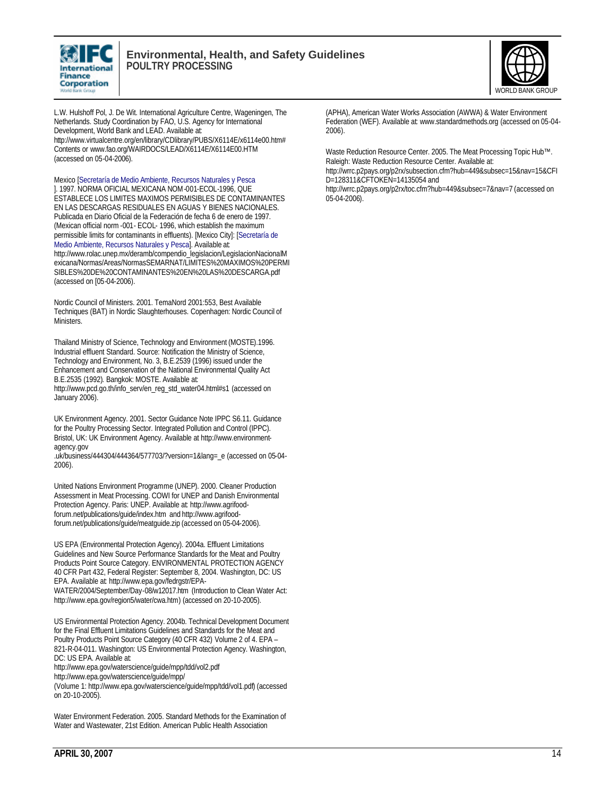



L.W. Hulshoff Pol, J. De Wit. International Agriculture Centre, Wageningen, The Netherlands. Study Coordination by FAO, U.S. Agency for International Development, World Bank and LEAD. Available at: http://www.virtualcentre.org/en/library/CDlibrary/PUBS/X6114E/x6114e00.htm# Contents or www.fao.org/WAIRDOCS/LEAD/X6114E/X6114E00.HTM (accessed on 05-04-2006).

Mexico [Secretaría de Medio Ambiente, Recursos Naturales y Pesca ]. 1997. NORMA OFICIAL MEXICANA NOM-001-ECOL-1996, QUE ESTABLECE LOS LIMITES MAXIMOS PERMISIBLES DE CONTAMINANTES EN LAS DESCARGAS RESIDUALES EN AGUAS Y BIENES NACIONALES. Publicada en Diario Oficial de la Federación de fecha 6 de enero de 1997. (Mexican official norm -001- ECOL- 1996, which establish the maximum permissible limits for contaminants in effluents). [Mexico City]: [Secretaría de Medio Ambiente, Recursos Naturales y Pesca]. Available at: http://www.rolac.unep.mx/deramb/compendio\_legislacion/LegislacionNacionalM exicana/Normas/Areas/NormasSEMARNAT/LIMITES%20MAXIMOS%20PERMI SIBLES%20DE%20CONTAMINANTES%20EN%20LAS%20DESCARGA.pdf (accessed on [05-04-2006).

Nordic Council of Ministers. 2001. TemaNord 2001:553, Best Available Techniques (BAT) in Nordic Slaughterhouses. Copenhagen: Nordic Council of Ministers.

Thailand Ministry of Science, Technology and Environment (MOSTE).1996. Industrial effluent Standard. Source: Notification the Ministry of Science, Technology and Environment, No. 3, B.E.2539 (1996) issued under the Enhancement and Conservation of the National Environmental Quality Act B.E.2535 (1992). Bangkok: MOSTE. Available at: http://www.pcd.go.th/info\_serv/en\_reg\_std\_water04.html#s1 (accessed on January 2006).

UK Environment Agency. 2001. Sector Guidance Note IPPC S6.11. Guidance for the Poultry Processing Sector. Integrated Pollution and Control (IPPC). Bristol, UK: UK Environment Agency. Available at http://www.environmentagency.gov

.uk/business/444304/444364/577703/?version=1&lang=\_e (accessed on 05-04- 2006).

United Nations Environment Programme (UNEP). 2000. Cleaner Production Assessment in Meat Processing. COWI for UNEP and Danish Environmental Protection Agency. Paris: UNEP. Available at: http://www.agrifoodforum.net/publications/guide/index.htm and http://www.agrifoodforum.net/publications/guide/meatguide.zip (accessed on 05-04-2006).

US EPA (Environmental Protection Agency). 2004a. Effluent Limitations Guidelines and New Source Performance Standards for the Meat and Poultry Products Point Source Category. ENVIRONMENTAL PROTECTION AGENCY 40 CFR Part 432, Federal Register: September 8, 2004. Washington, DC: US EPA. Available at: http://www.epa.gov/fedrgstr/EPA-

WATER/2004/September/Day-08/w12017.htm (Introduction to Clean Water Act: http://www.epa.gov/region5/water/cwa.htm) (accessed on 20-10-2005).

US Environmental Protection Agency. 2004b. Technical Development Document for the Final Effluent Limitations Guidelines and Standards for the Meat and Poultry Products Point Source Category (40 CFR 432) Volume 2 of 4. EPA – 821-R-04-011. Washington: US Environmental Protection Agency. Washington, DC: US EPA. Available at:

http://www.epa.gov/waterscience/guide/mpp/tdd/vol2.pdf

http://www.epa.gov/waterscience/guide/mpp/

(Volume 1: http://www.epa.gov/waterscience/guide/mpp/tdd/vol1.pdf) (accessed on 20-10-2005).

Water Environment Federation. 2005. Standard Methods for the Examination of Water and Wastewater, 21st Edition. American Public Health Association

(APHA), American Water Works Association (AWWA) & Water Environment Federation (WEF). Available at: www.standardmethods.org (accessed on 05-04- 2006).

Waste Reduction Resource Center. 2005. The Meat Processing Topic Hub™. Raleigh: Waste Reduction Resource Center. Available at:

http://wrrc.p2pays.org/p2rx/subsection.cfm?hub=449&subsec=15&nav=15&CFI D=128311&CFTOKEN=14135054 and

http://wrrc.p2pays.org/p2rx/toc.cfm?hub=449&subsec=7&nav=7 (accessed on 05-04-2006).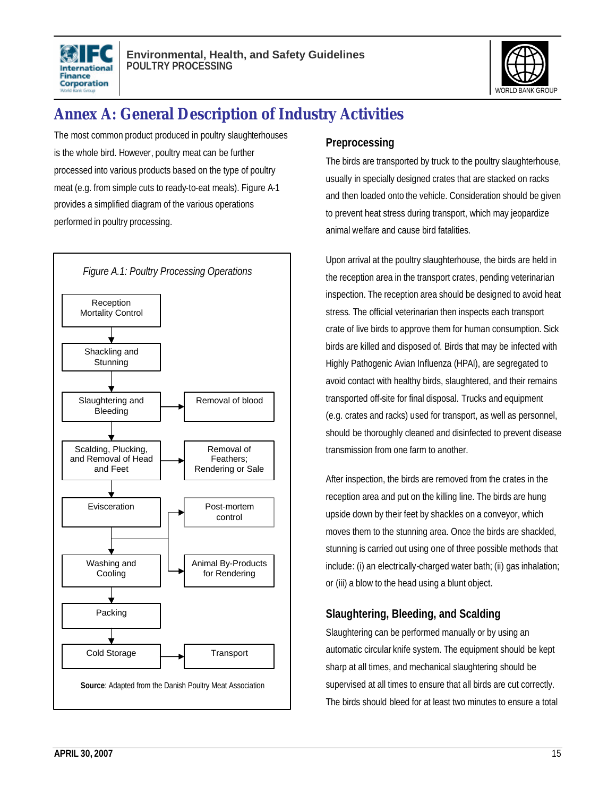



# **Annex A: General Description of Industry Activities**

The most common product produced in poultry slaughterhouses is the whole bird. However, poultry meat can be further processed into various products based on the type of poultry meat (e.g. from simple cuts to ready-to-eat meals). Figure A-1 provides a simplified diagram of the various operations performed in poultry processing.



### **Preprocessing**

The birds are transported by truck to the poultry slaughterhouse, usually in specially designed crates that are stacked on racks and then loaded onto the vehicle. Consideration should be given to prevent heat stress during transport, which may jeopardize animal welfare and cause bird fatalities.

Upon arrival at the poultry slaughterhouse, the birds are held in the reception area in the transport crates, pending veterinarian inspection. The reception area should be designed to avoid heat stress. The official veterinarian then inspects each transport crate of live birds to approve them for human consumption. Sick birds are killed and disposed of. Birds that may be infected with Highly Pathogenic Avian Influenza (HPAI), are segregated to avoid contact with healthy birds, slaughtered, and their remains transported off-site for final disposal. Trucks and equipment (e.g. crates and racks) used for transport, as well as personnel, should be thoroughly cleaned and disinfected to prevent disease transmission from one farm to another.

After inspection, the birds are removed from the crates in the reception area and put on the killing line. The birds are hung upside down by their feet by shackles on a conveyor, which moves them to the stunning area. Once the birds are shackled, stunning is carried out using one of three possible methods that include: (i) an electrically-charged water bath; (ii) gas inhalation; or (iii) a blow to the head using a blunt object.

# **Slaughtering, Bleeding, and Scalding**

Slaughtering can be performed manually or by using an automatic circular knife system. The equipment should be kept sharp at all times, and mechanical slaughtering should be supervised at all times to ensure that all birds are cut correctly. The birds should bleed for at least two minutes to ensure a total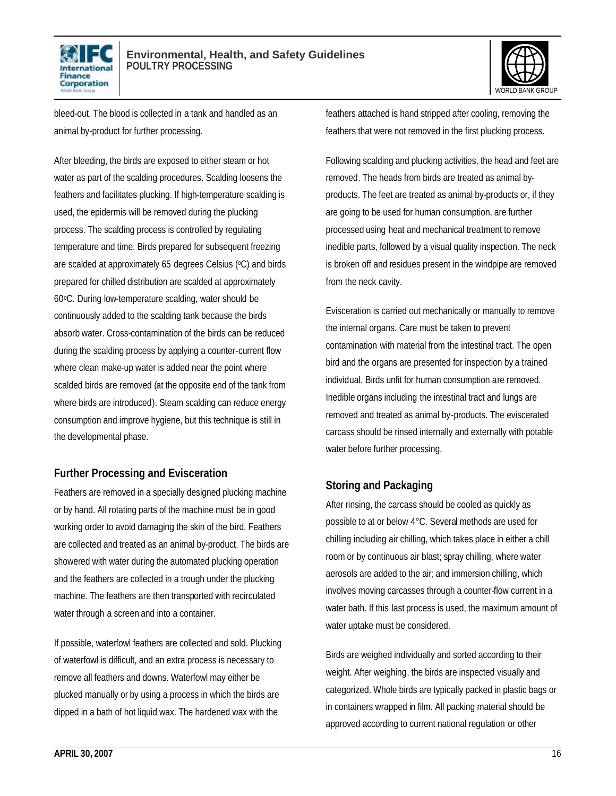



bleed-out. The blood is collected in a tank and handled as an animal by-product for further processing.

After bleeding, the birds are exposed to either steam or hot water as part of the scalding procedures. Scalding loosens the feathers and facilitates plucking. If high-temperature scalding is used, the epidermis will be removed during the plucking process. The scalding process is controlled by regulating temperature and time. Birds prepared for subsequent freezing are scalded at approximately 65 degrees Celsius (°C) and birds prepared for chilled distribution are scalded at approximately 60oC. During low-temperature scalding, water should be continuously added to the scalding tank because the birds absorb water. Cross-contamination of the birds can be reduced during the scalding process by applying a counter-current flow where clean make-up water is added near the point where scalded birds are removed (at the opposite end of the tank from where birds are introduced). Steam scalding can reduce energy consumption and improve hygiene, but this technique is still in the developmental phase.

### **Further Processing and Evisceration**

Feathers are removed in a specially designed plucking machine or by hand. All rotating parts of the machine must be in good working order to avoid damaging the skin of the bird. Feathers are collected and treated as an animal by-product. The birds are showered with water during the automated plucking operation and the feathers are collected in a trough under the plucking machine. The feathers are then transported with recirculated water through a screen and into a container.

If possible, waterfowl feathers are collected and sold. Plucking of waterfowl is difficult, and an extra process is necessary to remove all feathers and downs. Waterfowl may either be plucked manually or by using a process in which the birds are dipped in a bath of hot liquid wax. The hardened wax with the

feathers attached is hand stripped after cooling, removing the feathers that were not removed in the first plucking process.

Following scalding and plucking activities, the head and feet are removed. The heads from birds are treated as animal byproducts. The feet are treated as animal by-products or, if they are going to be used for human consumption, are further processed using heat and mechanical treatment to remove inedible parts, followed by a visual quality inspection. The neck is broken off and residues present in the windpipe are removed from the neck cavity.

Evisceration is carried out mechanically or manually to remove the internal organs. Care must be taken to prevent contamination with material from the intestinal tract. The open bird and the organs are presented for inspection by a trained individual. Birds unfit for human consumption are removed. Inedible organs including the intestinal tract and lungs are removed and treated as animal by-products. The eviscerated carcass should be rinsed internally and externally with potable water before further processing.

# **Storing and Packaging**

After rinsing, the carcass should be cooled as quickly as possible to at or below 4°C. Several methods are used for chilling including air chilling, which takes place in either a chill room or by continuous air blast; spray chilling, where water aerosols are added to the air; and immersion chilling, which involves moving carcasses through a counter-flow current in a water bath. If this last process is used, the maximum amount of water uptake must be considered.

Birds are weighed individually and sorted according to their weight. After weighing, the birds are inspected visually and categorized. Whole birds are typically packed in plastic bags or in containers wrapped in film. All packing material should be approved according to current national regulation or other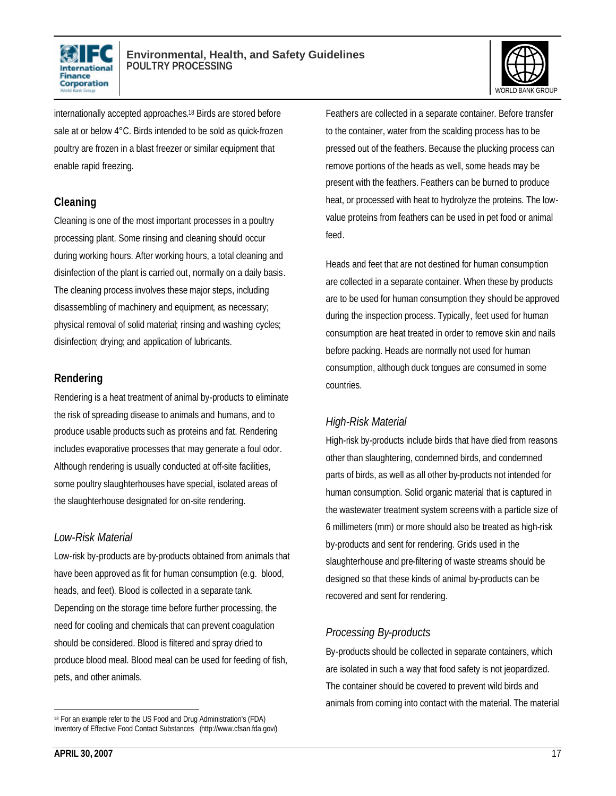



internationally accepted approaches. <sup>18</sup> Birds are stored before sale at or below 4°C. Birds intended to be sold as quick-frozen poultry are frozen in a blast freezer or similar equipment that enable rapid freezing.

### **Cleaning**

Cleaning is one of the most important processes in a poultry processing plant. Some rinsing and cleaning should occur during working hours. After working hours, a total cleaning and disinfection of the plant is carried out, normally on a daily basis. The cleaning process involves these major steps, including disassembling of machinery and equipment, as necessary; physical removal of solid material; rinsing and washing cycles; disinfection; drying; and application of lubricants.

### **Rendering**

Rendering is a heat treatment of animal by-products to eliminate the risk of spreading disease to animals and humans, and to produce usable products such as proteins and fat. Rendering includes evaporative processes that may generate a foul odor. Although rendering is usually conducted at off-site facilities, some poultry slaughterhouses have special, isolated areas of the slaughterhouse designated for on-site rendering.

### *Low-Risk Material*

Low-risk by-products are by-products obtained from animals that have been approved as fit for human consumption (e.g. blood, heads, and feet). Blood is collected in a separate tank. Depending on the storage time before further processing, the need for cooling and chemicals that can prevent coagulation should be considered. Blood is filtered and spray dried to produce blood meal. Blood meal can be used for feeding of fish, pets, and other animals.

Feathers are collected in a separate container. Before transfer to the container, water from the scalding process has to be pressed out of the feathers. Because the plucking process can remove portions of the heads as well, some heads may be present with the feathers. Feathers can be burned to produce heat, or processed with heat to hydrolyze the proteins. The lowvalue proteins from feathers can be used in pet food or animal feed.

Heads and feet that are not destined for human consumption are collected in a separate container. When these by products are to be used for human consumption they should be approved during the inspection process. Typically, feet used for human consumption are heat treated in order to remove skin and nails before packing. Heads are normally not used for human consumption, although duck tongues are consumed in some countries.

# *High-Risk Material*

High-risk by-products include birds that have died from reasons other than slaughtering, condemned birds, and condemned parts of birds, as well as all other by-products not intended for human consumption. Solid organic material that is captured in the wastewater treatment system screens with a particle size of 6 millimeters (mm) or more should also be treated as high-risk by-products and sent for rendering. Grids used in the slaughterhouse and pre-filtering of waste streams should be designed so that these kinds of animal by-products can be recovered and sent for rendering.

# *Processing By-products*

By-products should be collected in separate containers, which are isolated in such a way that food safety is not jeopardized. The container should be covered to prevent wild birds and animals from coming into contact with the material. The material

 $\overline{a}$ 18 For an example refer to the US Food and Drug Administration's (FDA) Inventory of Effective Food Contact Substances (http://www.cfsan.fda.gov/)